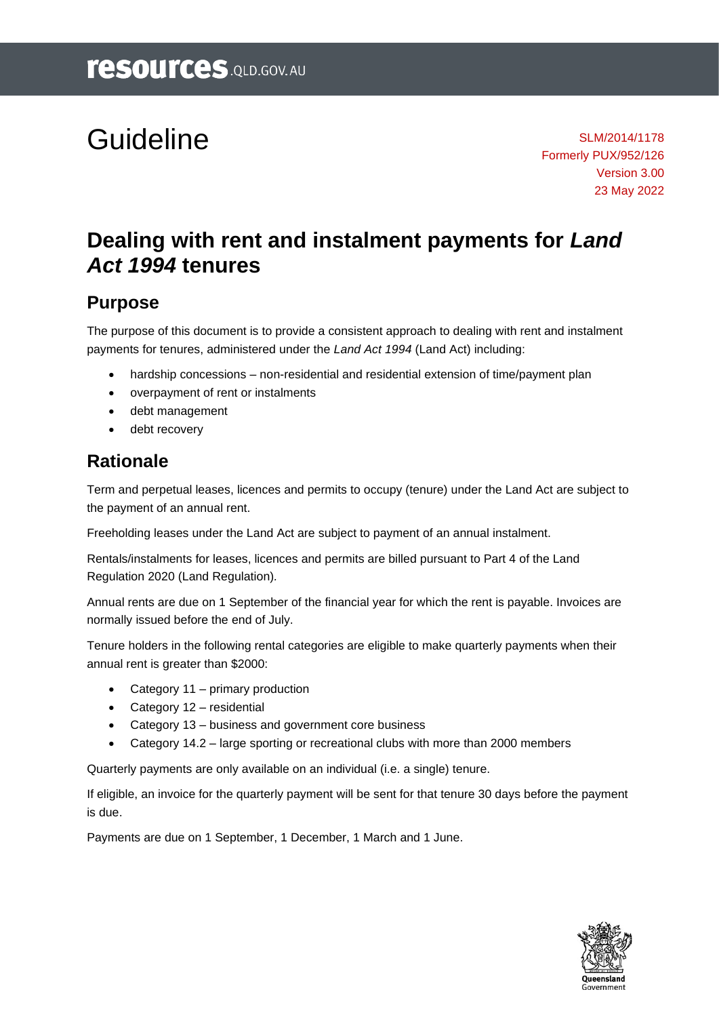# Guideline

SLM/2014/1178 Formerly PUX/952/126 Version 3.00 23 May 2022

# **Dealing with rent and instalment payments for** *Land Act 1994* **tenures**

# **Purpose**

The purpose of this document is to provide a consistent approach to dealing with rent and instalment payments for tenures, administered under the *Land Act 1994* (Land Act) including:

- hardship concessions non-residential and residential extension of time/payment plan
- overpayment of rent or instalments
- debt management
- debt recovery

# **Rationale**

Term and perpetual leases, licences and permits to occupy (tenure) under the Land Act are subject to the payment of an annual rent.

Freeholding leases under the Land Act are subject to payment of an annual instalment.

Rentals/instalments for leases, licences and permits are billed pursuant to Part 4 of the Land Regulation 2020 (Land Regulation)*.*

Annual rents are due on 1 September of the financial year for which the rent is payable. Invoices are normally issued before the end of July.

Tenure holders in the following rental categories are eligible to make quarterly payments when their annual rent is greater than \$2000:

- Category 11 primary production
- Category 12 residential
- Category 13 business and government core business
- Category 14.2 large sporting or recreational clubs with more than 2000 members

Quarterly payments are only available on an individual (i.e. a single) tenure.

If eligible, an invoice for the quarterly payment will be sent for that tenure 30 days before the payment is due.

Payments are due on 1 September, 1 December, 1 March and 1 June.

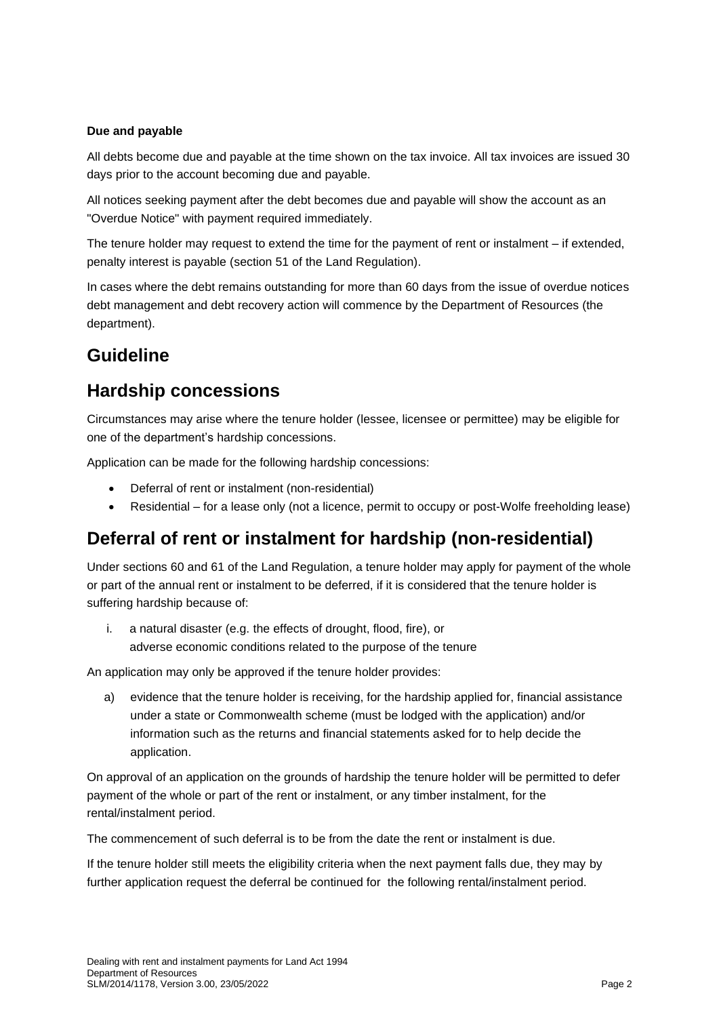#### **Due and payable**

All debts become due and payable at the time shown on the tax invoice. All tax invoices are issued 30 days prior to the account becoming due and payable.

All notices seeking payment after the debt becomes due and payable will show the account as an "Overdue Notice" with payment required immediately.

The tenure holder may request to extend the time for the payment of rent or instalment – if extended, penalty interest is payable (section 51 of the Land Regulation).

In cases where the debt remains outstanding for more than 60 days from the issue of overdue notices debt management and debt recovery action will commence by the Department of Resources (the department).

# **Guideline**

# **Hardship concessions**

Circumstances may arise where the tenure holder (lessee, licensee or permittee) may be eligible for one of the department's hardship concessions.

Application can be made for the following hardship concessions:

- Deferral of rent or instalment (non-residential)
- Residential for a lease only (not a licence, permit to occupy or post-Wolfe freeholding lease)

# **Deferral of rent or instalment for hardship (non-residential)**

Under sections 60 and 61 of the Land Regulation, a tenure holder may apply for payment of the whole or part of the annual rent or instalment to be deferred, if it is considered that the tenure holder is suffering hardship because of:

i. a natural disaster (e.g. the effects of drought, flood, fire), or adverse economic conditions related to the purpose of the tenure

An application may only be approved if the tenure holder provides:

a) evidence that the tenure holder is receiving, for the hardship applied for, financial assistance under a state or Commonwealth scheme (must be lodged with the application) and/or information such as the returns and financial statements asked for to help decide the application.

On approval of an application on the grounds of hardship the tenure holder will be permitted to defer payment of the whole or part of the rent or instalment, or any timber instalment, for the rental/instalment period.

The commencement of such deferral is to be from the date the rent or instalment is due.

If the tenure holder still meets the eligibility criteria when the next payment falls due, they may by further application request the deferral be continued for the following rental/instalment period.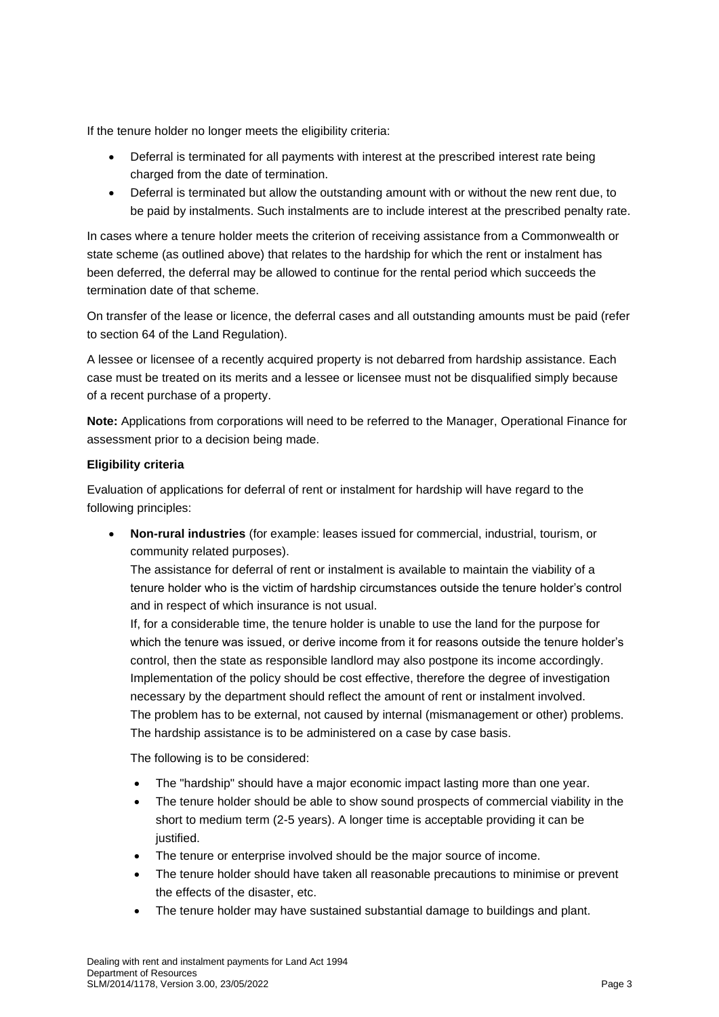If the tenure holder no longer meets the eligibility criteria:

- Deferral is terminated for all payments with interest at the prescribed interest rate being charged from the date of termination.
- Deferral is terminated but allow the outstanding amount with or without the new rent due, to be paid by instalments. Such instalments are to include interest at the prescribed penalty rate.

In cases where a tenure holder meets the criterion of receiving assistance from a Commonwealth or state scheme (as outlined above) that relates to the hardship for which the rent or instalment has been deferred, the deferral may be allowed to continue for the rental period which succeeds the termination date of that scheme.

On transfer of the lease or licence, the deferral cases and all outstanding amounts must be paid (refer to section 64 of the Land Regulation).

A lessee or licensee of a recently acquired property is not debarred from hardship assistance. Each case must be treated on its merits and a lessee or licensee must not be disqualified simply because of a recent purchase of a property.

**Note:** Applications from corporations will need to be referred to the Manager, Operational Finance for assessment prior to a decision being made.

#### **Eligibility criteria**

Evaluation of applications for deferral of rent or instalment for hardship will have regard to the following principles:

• **Non-rural industries** (for example: leases issued for commercial, industrial, tourism, or community related purposes).

The assistance for deferral of rent or instalment is available to maintain the viability of a tenure holder who is the victim of hardship circumstances outside the tenure holder's control and in respect of which insurance is not usual.

If, for a considerable time, the tenure holder is unable to use the land for the purpose for which the tenure was issued, or derive income from it for reasons outside the tenure holder's control, then the state as responsible landlord may also postpone its income accordingly. Implementation of the policy should be cost effective, therefore the degree of investigation necessary by the department should reflect the amount of rent or instalment involved. The problem has to be external, not caused by internal (mismanagement or other) problems. The hardship assistance is to be administered on a case by case basis.

The following is to be considered:

- The "hardship" should have a major economic impact lasting more than one year.
- The tenure holder should be able to show sound prospects of commercial viability in the short to medium term (2-5 years). A longer time is acceptable providing it can be justified.
- The tenure or enterprise involved should be the major source of income.
- The tenure holder should have taken all reasonable precautions to minimise or prevent the effects of the disaster, etc.
- The tenure holder may have sustained substantial damage to buildings and plant.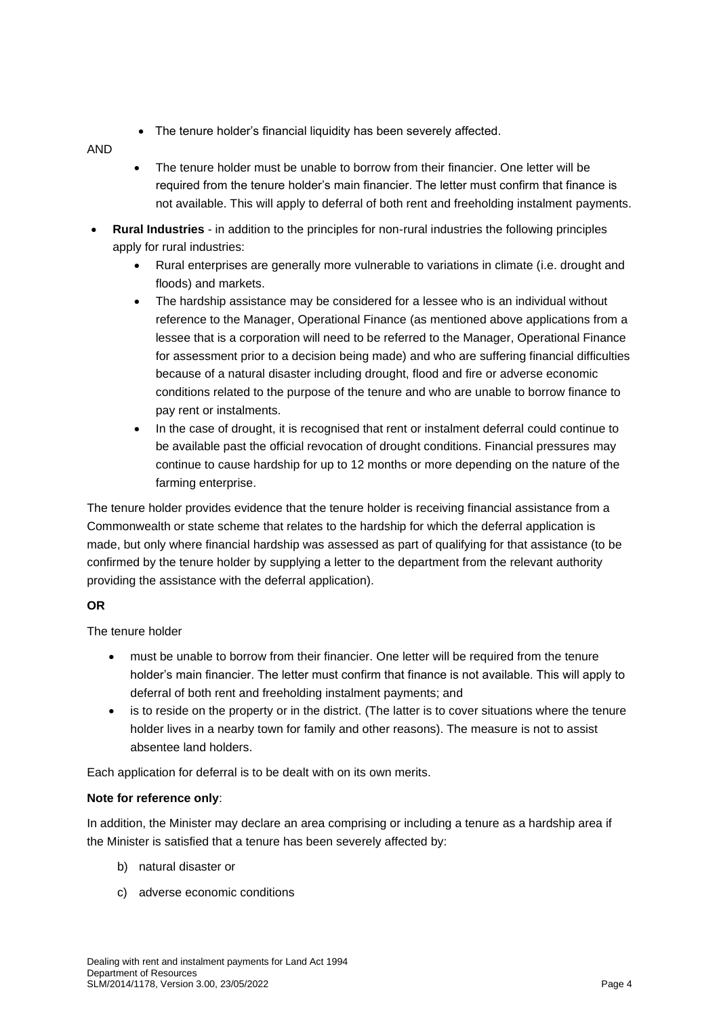• The tenure holder's financial liquidity has been severely affected.

AND

- The tenure holder must be unable to borrow from their financier. One letter will be required from the tenure holder's main financier. The letter must confirm that finance is not available. This will apply to deferral of both rent and freeholding instalment payments.
- **Rural Industries**  in addition to the principles for non-rural industries the following principles apply for rural industries:
	- Rural enterprises are generally more vulnerable to variations in climate (i.e. drought and floods) and markets.
	- The hardship assistance may be considered for a lessee who is an individual without reference to the Manager, Operational Finance (as mentioned above applications from a lessee that is a corporation will need to be referred to the Manager, Operational Finance for assessment prior to a decision being made) and who are suffering financial difficulties because of a natural disaster including drought, flood and fire or adverse economic conditions related to the purpose of the tenure and who are unable to borrow finance to pay rent or instalments.
	- In the case of drought, it is recognised that rent or instalment deferral could continue to be available past the official revocation of drought conditions. Financial pressures may continue to cause hardship for up to 12 months or more depending on the nature of the farming enterprise.

The tenure holder provides evidence that the tenure holder is receiving financial assistance from a Commonwealth or state scheme that relates to the hardship for which the deferral application is made, but only where financial hardship was assessed as part of qualifying for that assistance (to be confirmed by the tenure holder by supplying a letter to the department from the relevant authority providing the assistance with the deferral application).

#### **OR**

The tenure holder

- must be unable to borrow from their financier. One letter will be required from the tenure holder's main financier. The letter must confirm that finance is not available. This will apply to deferral of both rent and freeholding instalment payments; and
- is to reside on the property or in the district. (The latter is to cover situations where the tenure holder lives in a nearby town for family and other reasons). The measure is not to assist absentee land holders.

Each application for deferral is to be dealt with on its own merits.

#### **Note for reference only**:

In addition, the Minister may declare an area comprising or including a tenure as a hardship area if the Minister is satisfied that a tenure has been severely affected by:

- b) natural disaster or
- c) adverse economic conditions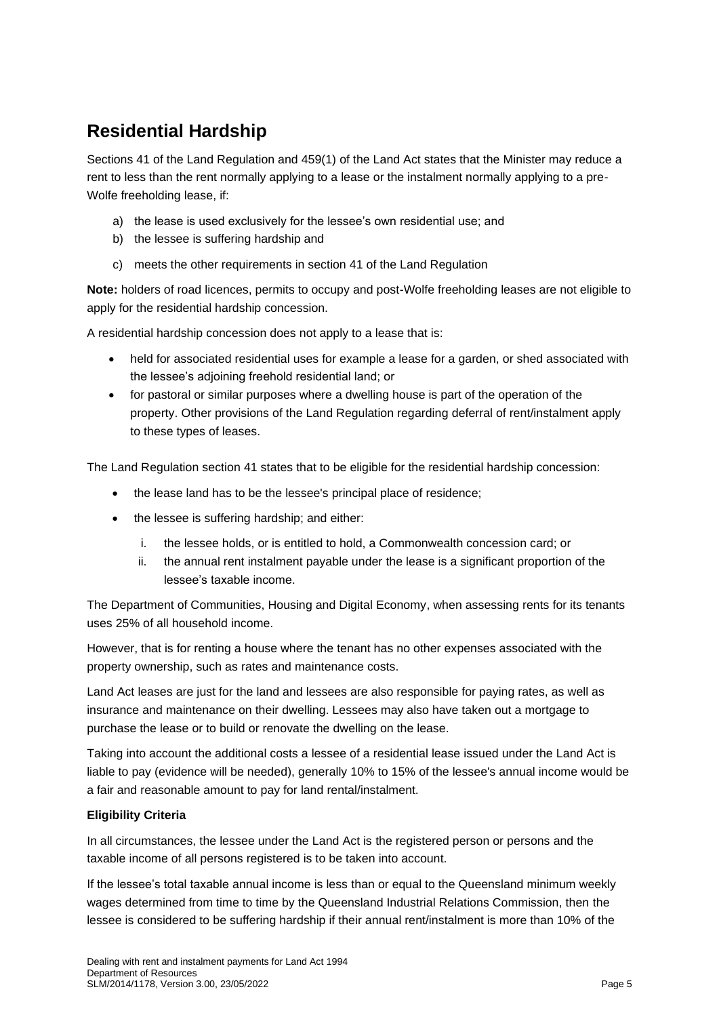# **Residential Hardship**

Sections 41 of the Land Regulation and 459(1) of the Land Act states that the Minister may reduce a rent to less than the rent normally applying to a lease or the instalment normally applying to a pre-Wolfe freeholding lease, if:

- a) the lease is used exclusively for the lessee's own residential use; and
- b) the lessee is suffering hardship and
- c) meets the other requirements in section 41 of the Land Regulation

**Note:** holders of road licences, permits to occupy and post-Wolfe freeholding leases are not eligible to apply for the residential hardship concession.

A residential hardship concession does not apply to a lease that is:

- held for associated residential uses for example a lease for a garden, or shed associated with the lessee's adjoining freehold residential land; or
- for pastoral or similar purposes where a dwelling house is part of the operation of the property. Other provisions of the Land Regulation regarding deferral of rent/instalment apply to these types of leases.

The Land Regulation section 41 states that to be eligible for the residential hardship concession:

- the lease land has to be the lessee's principal place of residence;
- the lessee is suffering hardship; and either:
	- i. the lessee holds, or is entitled to hold, a Commonwealth concession card; or
	- ii. the annual rent instalment payable under the lease is a significant proportion of the lessee's taxable income.

The Department of Communities, Housing and Digital Economy, when assessing rents for its tenants uses 25% of all household income.

However, that is for renting a house where the tenant has no other expenses associated with the property ownership, such as rates and maintenance costs.

Land Act leases are just for the land and lessees are also responsible for paying rates, as well as insurance and maintenance on their dwelling. Lessees may also have taken out a mortgage to purchase the lease or to build or renovate the dwelling on the lease.

Taking into account the additional costs a lessee of a residential lease issued under the Land Act is liable to pay (evidence will be needed), generally 10% to 15% of the lessee's annual income would be a fair and reasonable amount to pay for land rental/instalment.

#### **Eligibility Criteria**

In all circumstances, the lessee under the Land Act is the registered person or persons and the taxable income of all persons registered is to be taken into account.

If the lessee's total taxable annual income is less than or equal to the Queensland minimum weekly wages determined from time to time by the Queensland Industrial Relations Commission, then the lessee is considered to be suffering hardship if their annual rent/instalment is more than 10% of the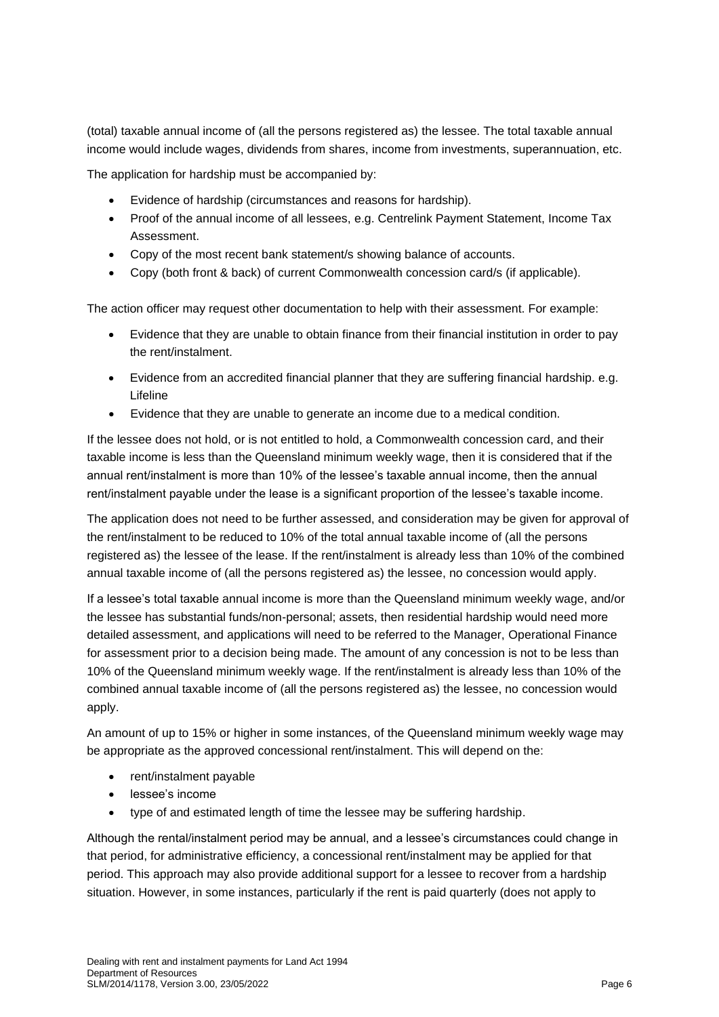(total) taxable annual income of (all the persons registered as) the lessee. The total taxable annual income would include wages, dividends from shares, income from investments, superannuation, etc.

The application for hardship must be accompanied by:

- Evidence of hardship (circumstances and reasons for hardship).
- Proof of the annual income of all lessees, e.g. Centrelink Payment Statement, Income Tax Assessment.
- Copy of the most recent bank statement/s showing balance of accounts.
- Copy (both front & back) of current Commonwealth concession card/s (if applicable).

The action officer may request other documentation to help with their assessment. For example:

- Evidence that they are unable to obtain finance from their financial institution in order to pay the rent/instalment.
- Evidence from an accredited financial planner that they are suffering financial hardship. e.g. Lifeline
- Evidence that they are unable to generate an income due to a medical condition.

If the lessee does not hold, or is not entitled to hold, a Commonwealth concession card, and their taxable income is less than the Queensland minimum weekly wage, then it is considered that if the annual rent/instalment is more than 10% of the lessee's taxable annual income, then the annual rent/instalment payable under the lease is a significant proportion of the lessee's taxable income.

The application does not need to be further assessed, and consideration may be given for approval of the rent/instalment to be reduced to 10% of the total annual taxable income of (all the persons registered as) the lessee of the lease. If the rent/instalment is already less than 10% of the combined annual taxable income of (all the persons registered as) the lessee, no concession would apply.

If a lessee's total taxable annual income is more than the Queensland minimum weekly wage, and/or the lessee has substantial funds/non-personal; assets, then residential hardship would need more detailed assessment, and applications will need to be referred to the Manager, Operational Finance for assessment prior to a decision being made. The amount of any concession is not to be less than 10% of the Queensland minimum weekly wage. If the rent/instalment is already less than 10% of the combined annual taxable income of (all the persons registered as) the lessee, no concession would apply.

An amount of up to 15% or higher in some instances, of the Queensland minimum weekly wage may be appropriate as the approved concessional rent/instalment. This will depend on the:

- rent/instalment payable
- lessee's income
- type of and estimated length of time the lessee may be suffering hardship.

Although the rental/instalment period may be annual, and a lessee's circumstances could change in that period, for administrative efficiency, a concessional rent/instalment may be applied for that period. This approach may also provide additional support for a lessee to recover from a hardship situation. However, in some instances, particularly if the rent is paid quarterly (does not apply to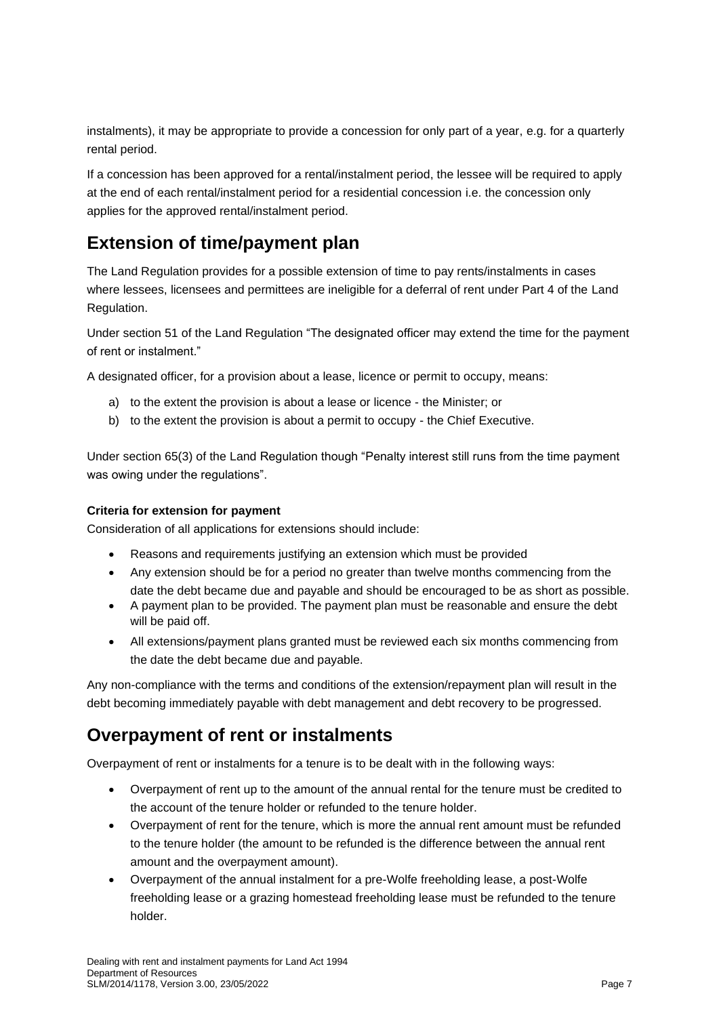instalments), it may be appropriate to provide a concession for only part of a year, e.g. for a quarterly rental period.

If a concession has been approved for a rental/instalment period, the lessee will be required to apply at the end of each rental/instalment period for a residential concession i.e. the concession only applies for the approved rental/instalment period.

# **Extension of time/payment plan**

The Land Regulation provides for a possible extension of time to pay rents/instalments in cases where lessees, licensees and permittees are ineligible for a deferral of rent under Part 4 of the Land Regulation.

Under section 51 of the Land Regulation "The designated officer may extend the time for the payment of rent or instalment."

A designated officer, for a provision about a lease, licence or permit to occupy, means:

- a) to the extent the provision is about a lease or licence the Minister; or
- b) to the extent the provision is about a permit to occupy the Chief Executive.

Under section 65(3) of the Land Regulation though "Penalty interest still runs from the time payment was owing under the regulations".

#### **Criteria for extension for payment**

Consideration of all applications for extensions should include:

- Reasons and requirements justifying an extension which must be provided
- Any extension should be for a period no greater than twelve months commencing from the date the debt became due and payable and should be encouraged to be as short as possible.
- A payment plan to be provided. The payment plan must be reasonable and ensure the debt will be paid off.
- All extensions/payment plans granted must be reviewed each six months commencing from the date the debt became due and payable.

Any non-compliance with the terms and conditions of the extension/repayment plan will result in the debt becoming immediately payable with debt management and debt recovery to be progressed.

# **Overpayment of rent or instalments**

Overpayment of rent or instalments for a tenure is to be dealt with in the following ways:

- Overpayment of rent up to the amount of the annual rental for the tenure must be credited to the account of the tenure holder or refunded to the tenure holder.
- Overpayment of rent for the tenure, which is more the annual rent amount must be refunded to the tenure holder (the amount to be refunded is the difference between the annual rent amount and the overpayment amount).
- Overpayment of the annual instalment for a pre-Wolfe freeholding lease, a post-Wolfe freeholding lease or a grazing homestead freeholding lease must be refunded to the tenure holder.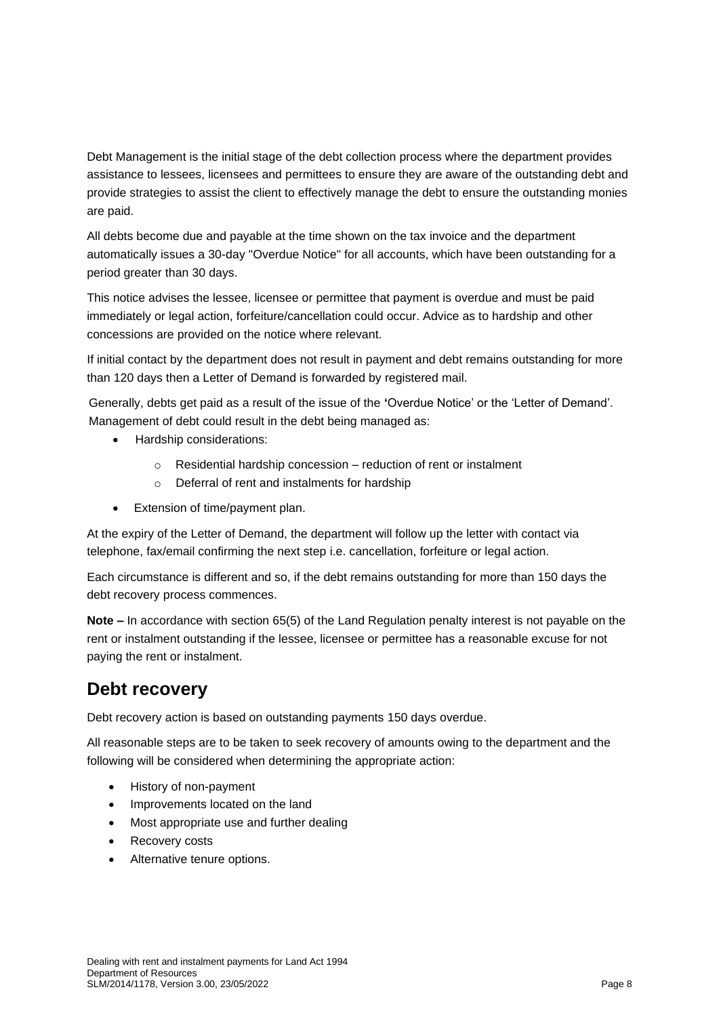Debt Management is the initial stage of the debt collection process where the department provides assistance to lessees, licensees and permittees to ensure they are aware of the outstanding debt and provide strategies to assist the client to effectively manage the debt to ensure the outstanding monies are paid.

All debts become due and payable at the time shown on the tax invoice and the department automatically issues a 30-day "Overdue Notice" for all accounts, which have been outstanding for a period greater than 30 days.

This notice advises the lessee, licensee or permittee that payment is overdue and must be paid immediately or legal action, forfeiture/cancellation could occur. Advice as to hardship and other concessions are provided on the notice where relevant.

If initial contact by the department does not result in payment and debt remains outstanding for more than 120 days then a Letter of Demand is forwarded by registered mail.

Generally, debts get paid as a result of the issue of the **'**Overdue Notice' or the 'Letter of Demand'. Management of debt could result in the debt being managed as:

- Hardship considerations:
	- o Residential hardship concession reduction of rent or instalment
	- o Deferral of rent and instalments for hardship
- Extension of time/payment plan.

At the expiry of the Letter of Demand, the department will follow up the letter with contact via telephone, fax/email confirming the next step i.e. cancellation, forfeiture or legal action.

Each circumstance is different and so, if the debt remains outstanding for more than 150 days the debt recovery process commences.

**Note –** In accordance with section 65(5) of the Land Regulation penalty interest is not payable on the rent or instalment outstanding if the lessee, licensee or permittee has a reasonable excuse for not paying the rent or instalment.

### **Debt recovery**

Debt recovery action is based on outstanding payments 150 days overdue.

All reasonable steps are to be taken to seek recovery of amounts owing to the department and the following will be considered when determining the appropriate action:

- History of non-payment
- Improvements located on the land
- Most appropriate use and further dealing
- Recovery costs
- Alternative tenure options.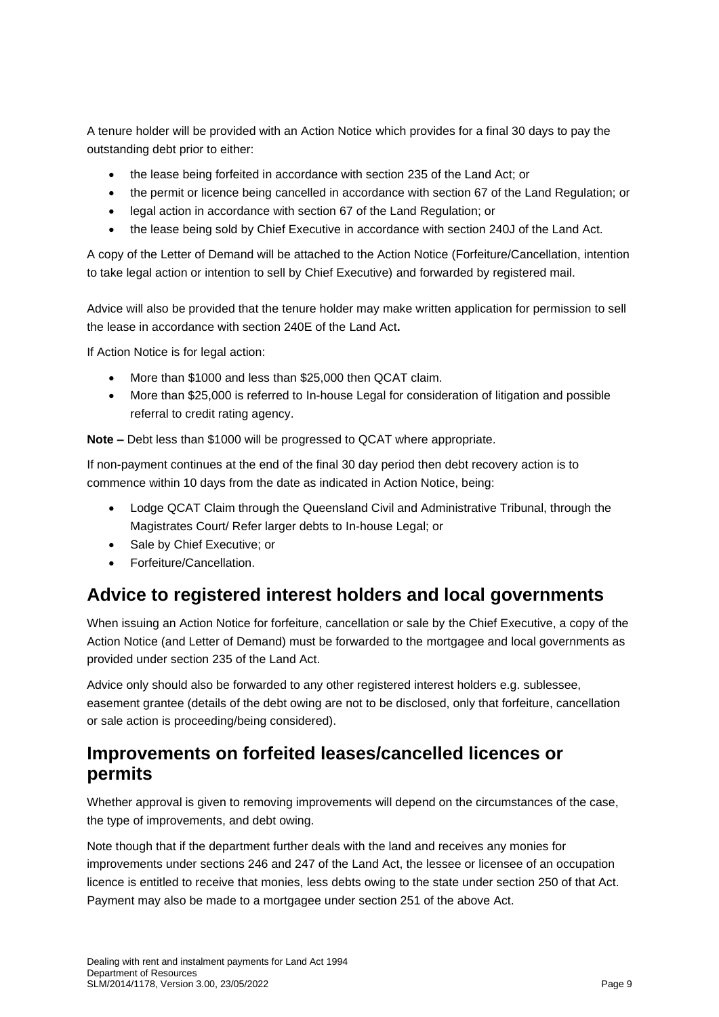A tenure holder will be provided with an Action Notice which provides for a final 30 days to pay the outstanding debt prior to either:

- the lease being forfeited in accordance with section 235 of the Land Act; or
- the permit or licence being cancelled in accordance with section 67 of the Land Regulation; or
- legal action in accordance with section 67 of the Land Regulation; or
- the lease being sold by Chief Executive in accordance with section 240J of the Land Act.

A copy of the Letter of Demand will be attached to the Action Notice (Forfeiture/Cancellation, intention to take legal action or intention to sell by Chief Executive) and forwarded by registered mail.

Advice will also be provided that the tenure holder may make written application for permission to sell the lease in accordance with section 240E of the Land Act**.**

If Action Notice is for legal action:

- More than \$1000 and less than \$25,000 then QCAT claim.
- More than \$25,000 is referred to In-house Legal for consideration of litigation and possible referral to credit rating agency.

**Note –** Debt less than \$1000 will be progressed to QCAT where appropriate.

If non-payment continues at the end of the final 30 day period then debt recovery action is to commence within 10 days from the date as indicated in Action Notice, being:

- Lodge QCAT Claim through the Queensland Civil and Administrative Tribunal, through the Magistrates Court/ Refer larger debts to In-house Legal; or
- Sale by Chief Executive; or
- Forfeiture/Cancellation.

# **Advice to registered interest holders and local governments**

When issuing an Action Notice for forfeiture, cancellation or sale by the Chief Executive, a copy of the Action Notice (and Letter of Demand) must be forwarded to the mortgagee and local governments as provided under section 235 of the Land Act.

Advice only should also be forwarded to any other registered interest holders e.g. sublessee, easement grantee (details of the debt owing are not to be disclosed, only that forfeiture, cancellation or sale action is proceeding/being considered).

# **Improvements on forfeited leases/cancelled licences or permits**

Whether approval is given to removing improvements will depend on the circumstances of the case, the type of improvements, and debt owing.

Note though that if the department further deals with the land and receives any monies for improvements under sections 246 and 247 of the Land Act, the lessee or licensee of an occupation licence is entitled to receive that monies, less debts owing to the state under section 250 of that Act. Payment may also be made to a mortgagee under section 251 of the above Act.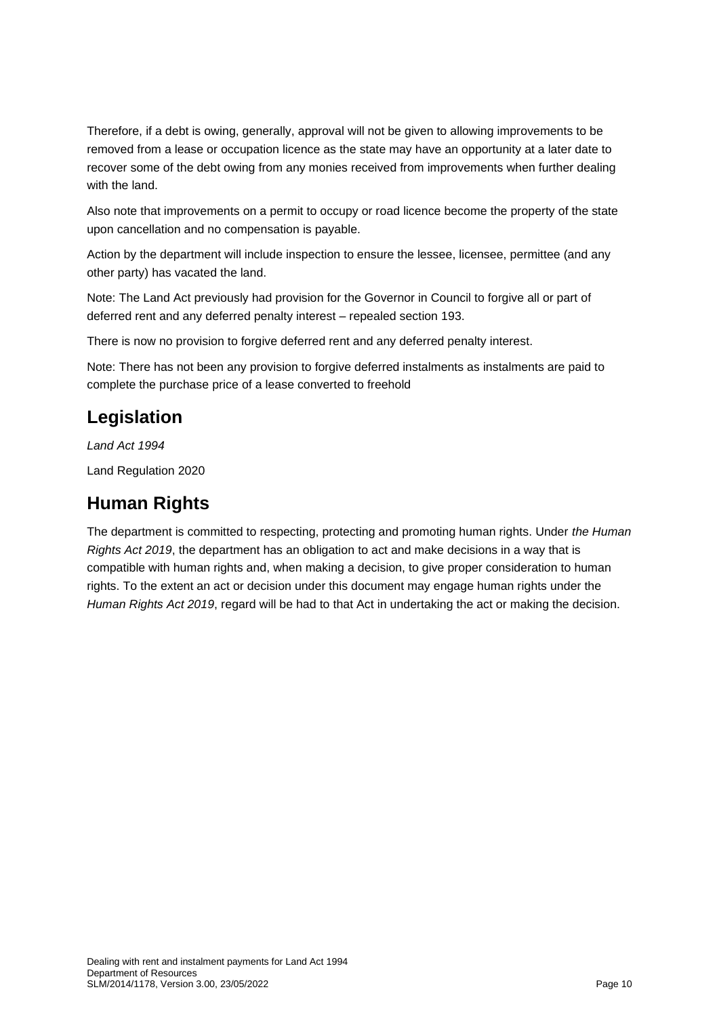Therefore, if a debt is owing, generally, approval will not be given to allowing improvements to be removed from a lease or occupation licence as the state may have an opportunity at a later date to recover some of the debt owing from any monies received from improvements when further dealing with the land.

Also note that improvements on a permit to occupy or road licence become the property of the state upon cancellation and no compensation is payable.

Action by the department will include inspection to ensure the lessee, licensee, permittee (and any other party) has vacated the land.

Note: The Land Act previously had provision for the Governor in Council to forgive all or part of deferred rent and any deferred penalty interest – repealed section 193.

There is now no provision to forgive deferred rent and any deferred penalty interest.

Note: There has not been any provision to forgive deferred instalments as instalments are paid to complete the purchase price of a lease converted to freehold

# **Legislation**

*Land Act 1994*

Land Regulation 2020

# **Human Rights**

The department is committed to respecting, protecting and promoting human rights. Under *the Human Rights Act 2019*, the department has an obligation to act and make decisions in a way that is compatible with human rights and, when making a decision, to give proper consideration to human rights. To the extent an act or decision under this document may engage human rights under the *Human Rights Act 2019*, regard will be had to that Act in undertaking the act or making the decision.